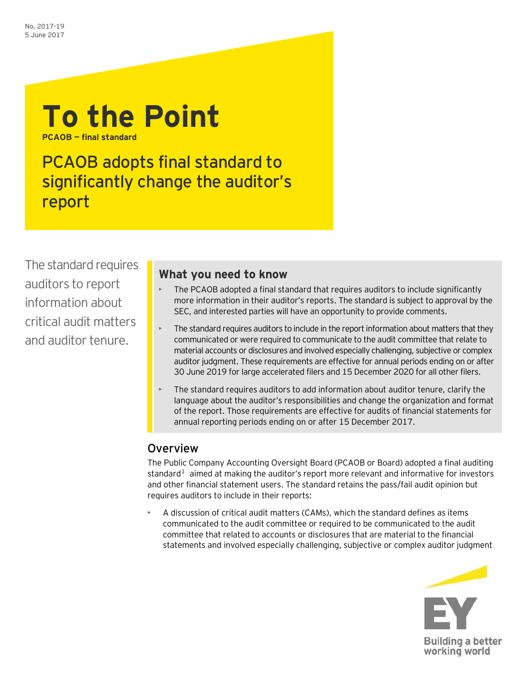

PCAOB adopts final standard to significantly change the auditor's report

The standard requires auditors to report information about critical audit matters and auditor tenure.

# **What you need to know**

- The PCAOB adopted a final standard that requires auditors to include significantly more information in their auditor's reports. The standard is subject to approval by the SEC, and interested parties will have an opportunity to provide comments.
- The standard requires auditors to include in the report information about matters that they communicated or were required to communicate to the audit committee that relate to material accounts or disclosures and involved especially challenging, subjective or complex auditor judgment. These requirements are effective for annual periods ending on or after 30 June 2019 for large accelerated filers and 15 December 2020 for all other filers.
- The standard requires auditors to add information about auditor tenure, clarify the language about the auditor's responsibilities and change the organization and format of the report. Those requirements are effective for audits of financial statements for annual reporting periods ending on or after 15 December 2017.

# Overview

The Public Company Accounting Oversight Board (PCAOB or Board) adopted a final auditing standard $<sup>1</sup>$  $<sup>1</sup>$  $<sup>1</sup>$  aimed at making the auditor's report more relevant and informative for investors</sup> and other financial statement users. The standard retains the pass/fail audit opinion but requires auditors to include in their reports:

• A discussion of critical audit matters (CAMs), which the standard defines as items communicated to the audit committee or required to be communicated to the audit committee that related to accounts or disclosures that are material to the financial statements and involved especially challenging, subjective or complex auditor judgment

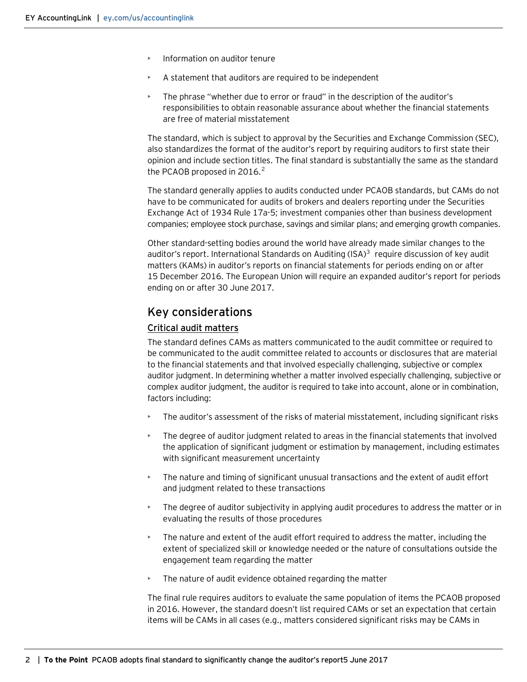- Information on auditor tenure
- $\triangleright$  A statement that auditors are required to be independent
- The phrase "whether due to error or fraud" in the description of the auditor's responsibilities to obtain reasonable assurance about whether the financial statements are free of material misstatement

The standard, which is subject to approval by the Securities and Exchange Commission (SEC), also standardizes the format of the auditor's report by requiring auditors to first state their opinion and include section titles. The final standard is substantially the same as the standard the PCAOB proposed in [2](#page-3-1)016.<sup>2</sup>

The standard generally applies to audits conducted under PCAOB standards, but CAMs do not have to be communicated for audits of brokers and dealers reporting under the Securities Exchange Act of 1934 Rule 17a-5; investment companies other than business development companies; employee stock purchase, savings and similar plans; and emerging growth companies.

Other standard-setting bodies around the world have already made similar changes to the auditor's report. International Standards on Auditing  $(ISA)^3$  $(ISA)^3$  require discussion of key audit matters (KAMs) in auditor's reports on financial statements for periods ending on or after 15 December 2016. The European Union will require an expanded auditor's report for periods ending on or after 30 June 2017.

## Key considerations

### Critical audit matters

The standard defines CAMs as matters communicated to the audit committee or required to be communicated to the audit committee related to accounts or disclosures that are material to the financial statements and that involved especially challenging, subjective or complex auditor judgment. In determining whether a matter involved especially challenging, subjective or complex auditor judgment, the auditor is required to take into account, alone or in combination, factors including:

- The auditor's assessment of the risks of material misstatement, including significant risks
- The degree of auditor judgment related to areas in the financial statements that involved the application of significant judgment or estimation by management, including estimates with significant measurement uncertainty
- The nature and timing of significant unusual transactions and the extent of audit effort and judgment related to these transactions
- The degree of auditor subjectivity in applying audit procedures to address the matter or in evaluating the results of those procedures
- The nature and extent of the audit effort required to address the matter, including the extent of specialized skill or knowledge needed or the nature of consultations outside the engagement team regarding the matter
- The nature of audit evidence obtained regarding the matter

The final rule requires auditors to evaluate the same population of items the PCAOB proposed in 2016. However, the standard doesn't list required CAMs or set an expectation that certain items will be CAMs in all cases (e.g., matters considered significant risks may be CAMs in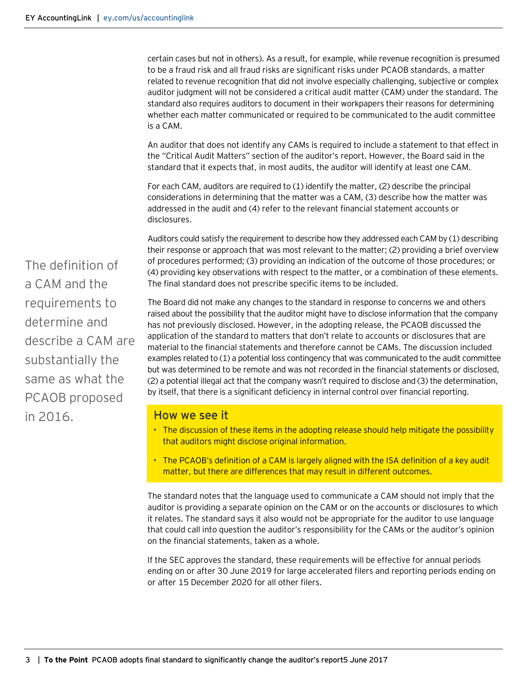certain cases but not in others). As a result, for example, while revenue recognition is presumed to be a fraud risk and all fraud risks are significant risks under PCAOB standards, a matter related to revenue recognition that did not involve especially challenging, subjective or complex auditor judgment will not be considered a critical audit matter (CAM) under the standard. The standard also requires auditors to document in their workpapers their reasons for determining whether each matter communicated or required to be communicated to the audit committee is a CAM.

An auditor that does not identify any CAMs is required to include a statement to that effect in the "Critical Audit Matters" section of the auditor's report. However, the Board said in the standard that it expects that, in most audits, the auditor will identify at least one CAM.

For each CAM, auditors are required to (1) identify the matter, (2) describe the principal considerations in determining that the matter was a CAM, (3) describe how the matter was addressed in the audit and (4) refer to the relevant financial statement accounts or disclosures.

Auditors could satisfy the requirement to describe how they addressed each CAM by (1) describing their response or approach that was most relevant to the matter; (2) providing a brief overview of procedures performed; (3) providing an indication of the outcome of those procedures; or (4) providing key observations with respect to the matter, or a combination of these elements. The final standard does not prescribe specific items to be included.

The Board did not make any changes to the standard in response to concerns we and others raised about the possibility that the auditor might have to disclose information that the company has not previously disclosed. However, in the adopting release, the PCAOB discussed the application of the standard to matters that don't relate to accounts or disclosures that are material to the financial statements and therefore cannot be CAMs. The discussion included examples related to (1) a potential loss contingency that was communicated to the audit committee but was determined to be remote and was not recorded in the financial statements or disclosed, (2) a potential illegal act that the company wasn't required to disclose and (3) the determination, by itself, that there is a significant deficiency in internal control over financial reporting.

### How we see it

- **The discussion of these items in the adopting release should help mitigate the possibility** that auditors might disclose original information.
- $\triangleright$  The PCAOB's definition of a CAM is largely aligned with the ISA definition of a key audit matter, but there are differences that may result in different outcomes.

The standard notes that the language used to communicate a CAM should not imply that the auditor is providing a separate opinion on the CAM or on the accounts or disclosures to which it relates. The standard says it also would not be appropriate for the auditor to use language that could call into question the auditor's responsibility for the CAMs or the auditor's opinion on the financial statements, taken as a whole.

If the SEC approves the standard, these requirements will be effective for annual periods ending on or after 30 June 2019 for large accelerated filers and reporting periods ending on or after 15 December 2020 for all other filers.

The definition of a CAM and the requirements to determine and describe a CAM are substantially the same as what the PCAOB proposed in 2016.